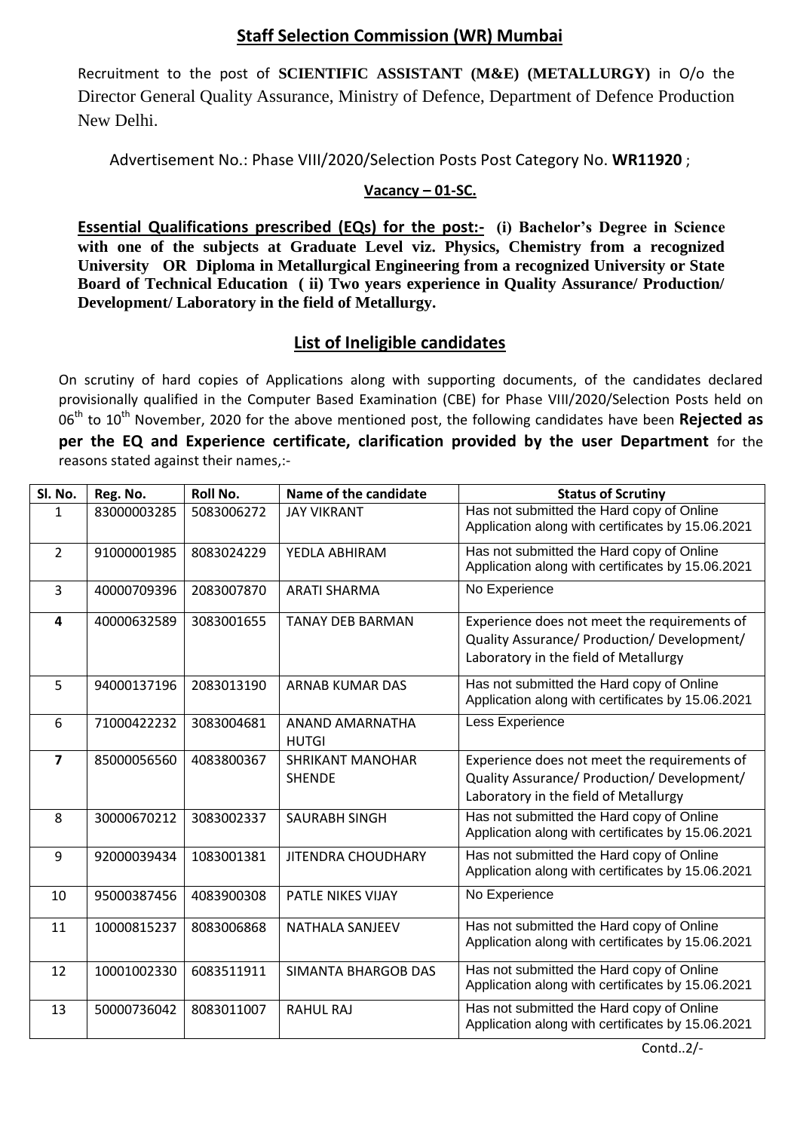## **Staff Selection Commission (WR) Mumbai**

Recruitment to the post of **SCIENTIFIC ASSISTANT (M&E) (METALLURGY)** in O/o the Director General Quality Assurance, Ministry of Defence, Department of Defence Production New Delhi.

Advertisement No.: Phase VIII/2020/Selection Posts Post Category No. **WR11920** ;

## **Vacancy – 01-SC.**

**Essential Qualifications prescribed (EQs) for the post:-** (i) Bachelor's Degree in Science **with one of the subjects at Graduate Level viz. Physics, Chemistry from a recognized University OR Diploma in Metallurgical Engineering from a recognized University or State Board of Technical Education ( ii) Two years experience in Quality Assurance/ Production/ Development/ Laboratory in the field of Metallurgy.**

## **List of Ineligible candidates**

On scrutiny of hard copies of Applications along with supporting documents, of the candidates declared provisionally qualified in the Computer Based Examination (CBE) for Phase VIII/2020/Selection Posts held on 06<sup>th</sup> to 10<sup>th</sup> November, 2020 for the above mentioned post, the following candidates have been **Rejected as per the EQ and Experience certificate, clarification provided by the user Department** for the reasons stated against their names,:-

| Sl. No.                 | Reg. No.    | <b>Roll No.</b> | Name of the candidate                    | <b>Status of Scrutiny</b>                                                                                                            |
|-------------------------|-------------|-----------------|------------------------------------------|--------------------------------------------------------------------------------------------------------------------------------------|
| 1                       | 83000003285 | 5083006272      | <b>JAY VIKRANT</b>                       | Has not submitted the Hard copy of Online<br>Application along with certificates by 15.06.2021                                       |
| $\overline{2}$          | 91000001985 | 8083024229      | YEDLA ABHIRAM                            | Has not submitted the Hard copy of Online<br>Application along with certificates by 15.06.2021                                       |
| 3                       | 40000709396 | 2083007870      | <b>ARATI SHARMA</b>                      | No Experience                                                                                                                        |
| 4                       | 40000632589 | 3083001655      | <b>TANAY DEB BARMAN</b>                  | Experience does not meet the requirements of<br>Quality Assurance/ Production/ Development/<br>Laboratory in the field of Metallurgy |
| 5                       | 94000137196 | 2083013190      | ARNAB KUMAR DAS                          | Has not submitted the Hard copy of Online<br>Application along with certificates by 15.06.2021                                       |
| 6                       | 71000422232 | 3083004681      | ANAND AMARNATHA<br><b>HUTGI</b>          | Less Experience                                                                                                                      |
| $\overline{\mathbf{z}}$ | 85000056560 | 4083800367      | <b>SHRIKANT MANOHAR</b><br><b>SHENDE</b> | Experience does not meet the requirements of<br>Quality Assurance/ Production/ Development/<br>Laboratory in the field of Metallurgy |
| 8                       | 30000670212 | 3083002337      | <b>SAURABH SINGH</b>                     | Has not submitted the Hard copy of Online<br>Application along with certificates by 15.06.2021                                       |
| 9                       | 92000039434 | 1083001381      | <b>JITENDRA CHOUDHARY</b>                | Has not submitted the Hard copy of Online<br>Application along with certificates by 15.06.2021                                       |
| 10                      | 95000387456 | 4083900308      | <b>PATLE NIKES VIJAY</b>                 | No Experience                                                                                                                        |
| 11                      | 10000815237 | 8083006868      | <b>NATHALA SANJEEV</b>                   | Has not submitted the Hard copy of Online<br>Application along with certificates by 15.06.2021                                       |
| 12                      | 10001002330 | 6083511911      | <b>SIMANTA BHARGOB DAS</b>               | Has not submitted the Hard copy of Online<br>Application along with certificates by 15.06.2021                                       |
| 13                      | 50000736042 | 8083011007      | <b>RAHUL RAJ</b>                         | Has not submitted the Hard copy of Online<br>Application along with certificates by 15.06.2021                                       |